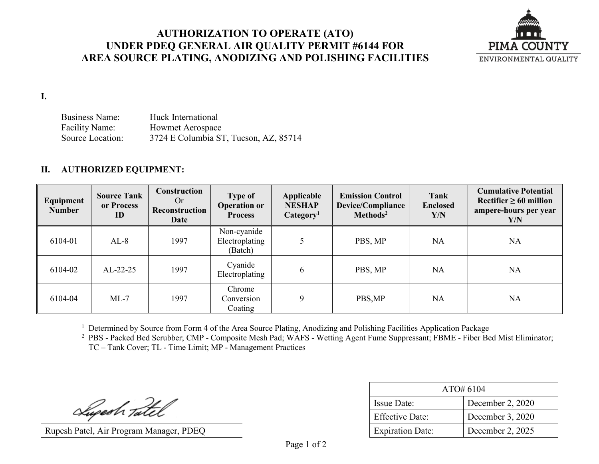## **AUTHORIZATION TO OPERATE (ATO) UNDER PDEQ GENERAL AIR QUALITY PERMIT #6144 FOR AREA SOURCE PLATING, ANODIZING AND POLISHING FACILITIES**



**I.**

Business Name: Huck International Facility Name: Howmet Aerospace Source Location: 3724 E Columbia ST, Tucson, AZ, 85714

## **II. AUTHORIZED EQUIPMENT:**

| Equipment<br><b>Number</b> | <b>Source Tank</b><br>or Process<br>ID | Construction<br>Or<br>Reconstruction<br><b>Date</b> | <b>Type of</b><br><b>Operation or</b><br><b>Process</b> | Applicable<br><b>NESHAP</b><br>Categorical | <b>Emission Control</b><br>Device/Compliance<br>Methods <sup>2</sup> | <b>Tank</b><br><b>Enclosed</b><br>Y/N | <b>Cumulative Potential</b><br>Rectifier $\geq 60$ million<br>ampere-hours per year<br>Y/N |
|----------------------------|----------------------------------------|-----------------------------------------------------|---------------------------------------------------------|--------------------------------------------|----------------------------------------------------------------------|---------------------------------------|--------------------------------------------------------------------------------------------|
| 6104-01                    | $AL-8$                                 | 1997                                                | Non-cyanide<br>Electroplating<br>(Batch)                |                                            | PBS, MP                                                              | <b>NA</b>                             | NA                                                                                         |
| 6104-02                    | $AL-22-25$                             | 1997                                                | Cyanide<br>Electroplating                               | 6                                          | PBS, MP                                                              | <b>NA</b>                             | NA                                                                                         |
| 6104-04                    | $ML-7$                                 | 1997                                                | Chrome<br>Conversion<br>Coating                         | 9                                          | PBS,MP                                                               | <b>NA</b>                             | <b>NA</b>                                                                                  |

<sup>1</sup> Determined by Source from Form 4 of the Area Source Plating, Anodizing and Polishing Facilities Application Package

<sup>2</sup> PBS - Packed Bed Scrubber; CMP - Composite Mesh Pad; WAFS - Wetting Agent Fume Suppressant; FBME - Fiber Bed Mist Eliminator; TC – Tank Cover; TL - Time Limit; MP - Management Practices

Superh Tatel

Rupesh Patel, Air Program Manager, PDEQ

| ATO#6104                |                  |  |
|-------------------------|------------------|--|
| <b>Issue Date:</b>      | December 2, 2020 |  |
| <b>Effective Date:</b>  | December 3, 2020 |  |
| <b>Expiration Date:</b> | December 2, 2025 |  |